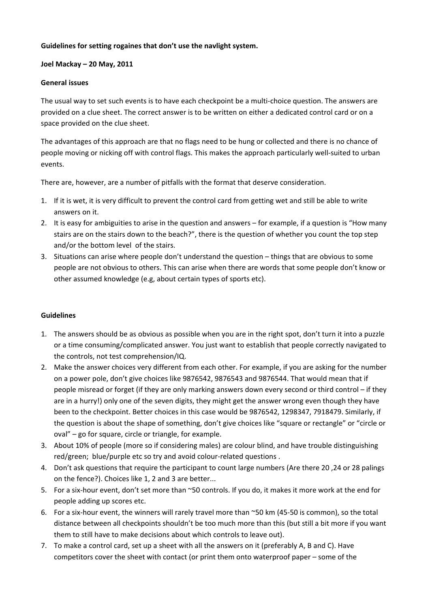## **Guidelines for setting rogaines that don't use the navlight system.**

#### **Joel Mackay – 20 May, 2011**

## **General issues**

The usual way to set such events is to have each checkpoint be a multi-choice question. The answers are provided on a clue sheet. The correct answer is to be written on either a dedicated control card or on a space provided on the clue sheet.

The advantages of this approach are that no flags need to be hung or collected and there is no chance of people moving or nicking off with control flags. This makes the approach particularly well-suited to urban events.

There are, however, are a number of pitfalls with the format that deserve consideration.

- 1. If it is wet, it is very difficult to prevent the control card from getting wet and still be able to write answers on it.
- 2. It is easy for ambiguities to arise in the question and answers for example, if a question is "How many stairs are on the stairs down to the beach?", there is the question of whether you count the top step and/or the bottom level of the stairs.
- 3. Situations can arise where people don't understand the question things that are obvious to some people are not obvious to others. This can arise when there are words that some people don't know or other assumed knowledge (e.g, about certain types of sports etc).

#### **Guidelines**

- 1. The answers should be as obvious as possible when you are in the right spot, don't turn it into a puzzle or a time consuming/complicated answer. You just want to establish that people correctly navigated to the controls, not test comprehension/IQ.
- 2. Make the answer choices very different from each other. For example, if you are asking for the number on a power pole, don't give choices like 9876542, 9876543 and 9876544. That would mean that if people misread or forget (if they are only marking answers down every second or third control – if they are in a hurry!) only one of the seven digits, they might get the answer wrong even though they have been to the checkpoint. Better choices in this case would be 9876542, 1298347, 7918479. Similarly, if the question is about the shape of something, don't give choices like "square or rectangle" or "circle or oval" – go for square, circle or triangle, for example.
- 3. About 10% of people (more so if considering males) are colour blind, and have trouble distinguishing red/green; blue/purple etc so try and avoid colour-related questions .
- 4. Don't ask questions that require the participant to count large numbers (Are there 20 ,24 or 28 palings on the fence?). Choices like 1, 2 and 3 are better...
- 5. For a six-hour event, don't set more than ~50 controls. If you do, it makes it more work at the end for people adding up scores etc.
- 6. For a six-hour event, the winners will rarely travel more than ~50 km (45-50 is common), so the total distance between all checkpoints shouldn't be too much more than this (but still a bit more if you want them to still have to make decisions about which controls to leave out).
- 7. To make a control card, set up a sheet with all the answers on it (preferably A, B and C). Have competitors cover the sheet with contact (or print them onto waterproof paper – some of the